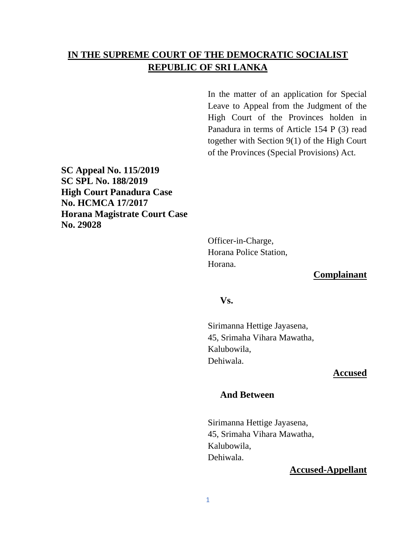# **IN THE SUPREME COURT OF THE DEMOCRATIC SOCIALIST REPUBLIC OF SRI LANKA**

In the matter of an application for Special Leave to Appeal from the Judgment of the High Court of the Provinces holden in Panadura in terms of Article 154 P (3) read together with Section 9(1) of the High Court of the Provinces (Special Provisions) Act.

**SC Appeal No. 115/2019 SC SPL No. 188/2019 High Court Panadura Case No. HCMCA 17/2017 Horana Magistrate Court Case No. 29028**

> Officer-in-Charge, Horana Police Station, Horana.

## **Complainant**

#### **Vs.**

Sirimanna Hettige Jayasena, 45, Srimaha Vihara Mawatha, Kalubowila, Dehiwala.

#### **Accused**

#### **And Between**

Sirimanna Hettige Jayasena, 45, Srimaha Vihara Mawatha, Kalubowila, Dehiwala.

#### **Accused-Appellant**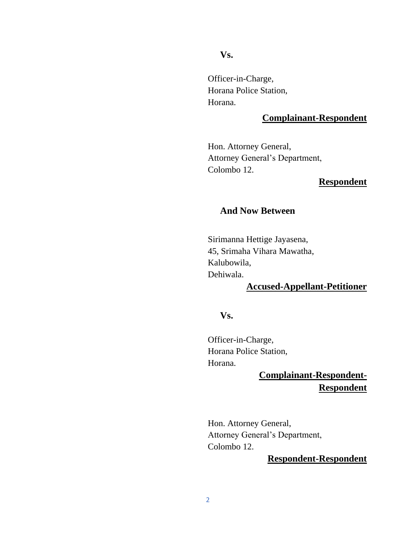#### **Vs.**

Officer-in-Charge, Horana Police Station, Horana.

# **Complainant-Respondent**

Hon. Attorney General, Attorney General's Department, Colombo 12.

#### **Respondent**

#### **And Now Between**

Sirimanna Hettige Jayasena, 45, Srimaha Vihara Mawatha, Kalubowila, Dehiwala.

# **Accused-Appellant-Petitioner**

## **Vs.**

Officer-in-Charge, Horana Police Station, Horana.

# **Complainant-Respondent-Respondent**

Hon. Attorney General, Attorney General's Department, Colombo 12.

# **Respondent-Respondent**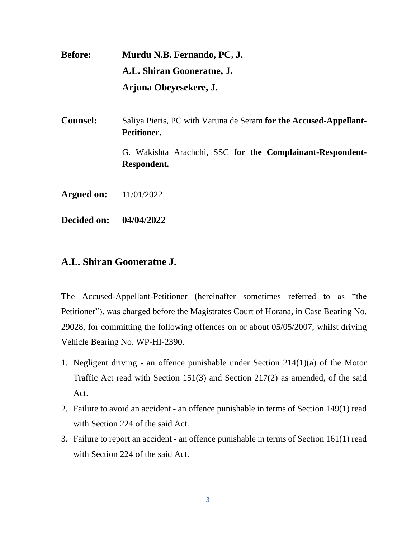**Before: Murdu N.B. Fernando, PC, J. A.L. Shiran Gooneratne, J. Arjuna Obeyesekere, J.**

**Counsel:** Saliya Pieris, PC with Varuna de Seram **for the Accused-Appellant-Petitioner.** G. Wakishta Arachchi, SSC **for the Complainant-Respondent-Respondent.**

**Argued on:** 11/01/2022

**Decided on: 04/04/2022**

# **A.L. Shiran Gooneratne J.**

The Accused-Appellant-Petitioner (hereinafter sometimes referred to as "the Petitioner"), was charged before the Magistrates Court of Horana, in Case Bearing No. 29028, for committing the following offences on or about 05/05/2007, whilst driving Vehicle Bearing No. WP-HI-2390.

- 1. Negligent driving an offence punishable under Section 214(1)(a) of the Motor Traffic Act read with Section 151(3) and Section 217(2) as amended, of the said Act.
- 2. Failure to avoid an accident an offence punishable in terms of Section 149(1) read with Section 224 of the said Act.
- 3. Failure to report an accident an offence punishable in terms of Section 161(1) read with Section 224 of the said Act.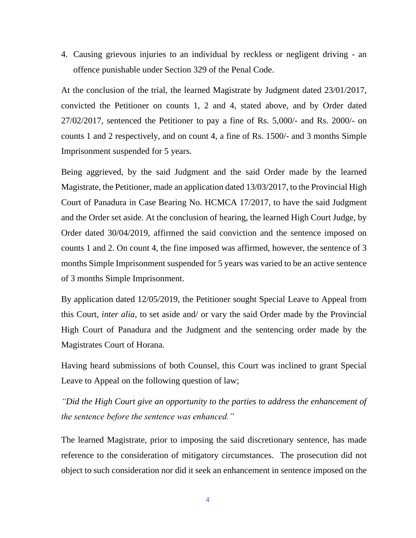4. Causing grievous injuries to an individual by reckless or negligent driving - an offence punishable under Section 329 of the Penal Code.

At the conclusion of the trial, the learned Magistrate by Judgment dated 23/01/2017, convicted the Petitioner on counts 1, 2 and 4, stated above, and by Order dated 27/02/2017, sentenced the Petitioner to pay a fine of Rs. 5,000/- and Rs. 2000/- on counts 1 and 2 respectively, and on count 4, a fine of Rs. 1500/- and 3 months Simple Imprisonment suspended for 5 years.

Being aggrieved, by the said Judgment and the said Order made by the learned Magistrate, the Petitioner, made an application dated 13/03/2017, to the Provincial High Court of Panadura in Case Bearing No. HCMCA 17/2017, to have the said Judgment and the Order set aside. At the conclusion of hearing, the learned High Court Judge, by Order dated 30/04/2019, affirmed the said conviction and the sentence imposed on counts 1 and 2. On count 4, the fine imposed was affirmed, however, the sentence of 3 months Simple Imprisonment suspended for 5 years was varied to be an active sentence of 3 months Simple Imprisonment.

By application dated 12/05/2019, the Petitioner sought Special Leave to Appeal from this Court, *inter alia*, to set aside and/ or vary the said Order made by the Provincial High Court of Panadura and the Judgment and the sentencing order made by the Magistrates Court of Horana.

Having heard submissions of both Counsel, this Court was inclined to grant Special Leave to Appeal on the following question of law;

*"Did the High Court give an opportunity to the parties to address the enhancement of the sentence before the sentence was enhanced."* 

The learned Magistrate, prior to imposing the said discretionary sentence, has made reference to the consideration of mitigatory circumstances. The prosecution did not object to such consideration nor did it seek an enhancement in sentence imposed on the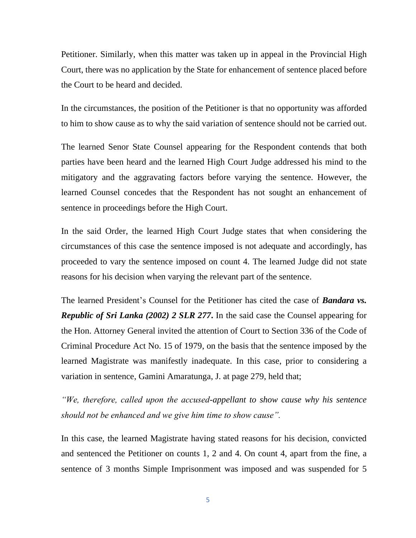Petitioner. Similarly, when this matter was taken up in appeal in the Provincial High Court, there was no application by the State for enhancement of sentence placed before the Court to be heard and decided.

In the circumstances, the position of the Petitioner is that no opportunity was afforded to him to show cause as to why the said variation of sentence should not be carried out.

The learned Senor State Counsel appearing for the Respondent contends that both parties have been heard and the learned High Court Judge addressed his mind to the mitigatory and the aggravating factors before varying the sentence. However, the learned Counsel concedes that the Respondent has not sought an enhancement of sentence in proceedings before the High Court.

In the said Order, the learned High Court Judge states that when considering the circumstances of this case the sentence imposed is not adequate and accordingly, has proceeded to vary the sentence imposed on count 4. The learned Judge did not state reasons for his decision when varying the relevant part of the sentence.

The learned President's Counsel for the Petitioner has cited the case of *Bandara vs. Republic of Sri Lanka (2002) 2 SLR 277***.** In the said case the Counsel appearing for the Hon. Attorney General invited the attention of Court to Section 336 of the Code of Criminal Procedure Act No. 15 of 1979, on the basis that the sentence imposed by the learned Magistrate was manifestly inadequate. In this case, prior to considering a variation in sentence, Gamini Amaratunga, J. at page 279, held that;

*"We, therefore, called upon the accused-appellant to show cause why his sentence should not be enhanced and we give him time to show cause".* 

In this case, the learned Magistrate having stated reasons for his decision, convicted and sentenced the Petitioner on counts 1, 2 and 4. On count 4, apart from the fine, a sentence of 3 months Simple Imprisonment was imposed and was suspended for 5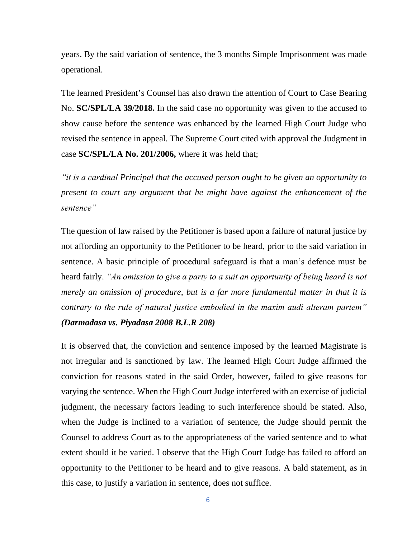years. By the said variation of sentence, the 3 months Simple Imprisonment was made operational.

The learned President's Counsel has also drawn the attention of Court to Case Bearing No. **SC/SPL/LA 39/2018.** In the said case no opportunity was given to the accused to show cause before the sentence was enhanced by the learned High Court Judge who revised the sentence in appeal. The Supreme Court cited with approval the Judgment in case **SC/SPL/LA No. 201/2006,** where it was held that;

*"it is a cardinal Principal that the accused person ought to be given an opportunity to present to court any argument that he might have against the enhancement of the sentence"*

The question of law raised by the Petitioner is based upon a failure of natural justice by not affording an opportunity to the Petitioner to be heard, prior to the said variation in sentence. A basic principle of procedural safeguard is that a man's defence must be heard fairly. *"An omission to give a party to a suit an opportunity of being heard is not merely an omission of procedure, but is a far more fundamental matter in that it is contrary to the rule of natural justice embodied in the maxim audi alteram partem" (Darmadasa vs. Piyadasa 2008 B.L.R 208)*

It is observed that, the conviction and sentence imposed by the learned Magistrate is not irregular and is sanctioned by law. The learned High Court Judge affirmed the conviction for reasons stated in the said Order, however, failed to give reasons for varying the sentence. When the High Court Judge interfered with an exercise of judicial judgment, the necessary factors leading to such interference should be stated. Also, when the Judge is inclined to a variation of sentence, the Judge should permit the Counsel to address Court as to the appropriateness of the varied sentence and to what extent should it be varied. I observe that the High Court Judge has failed to afford an opportunity to the Petitioner to be heard and to give reasons. A bald statement, as in this case, to justify a variation in sentence, does not suffice.